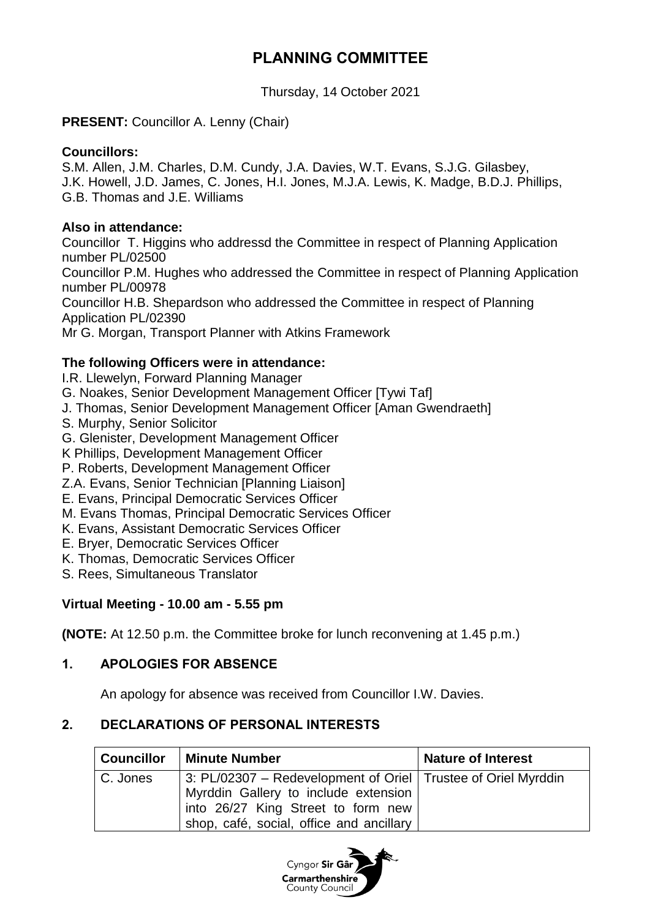## **PLANNING COMMITTEE**

Thursday, 14 October 2021

#### **PRESENT:** Councillor A. Lenny (Chair)

#### **Councillors:**

S.M. Allen, J.M. Charles, D.M. Cundy, J.A. Davies, W.T. Evans, S.J.G. Gilasbey, J.K. Howell, J.D. James, C. Jones, H.I. Jones, M.J.A. Lewis, K. Madge, B.D.J. Phillips, G.B. Thomas and J.E. Williams

#### **Also in attendance:**

Councillor T. Higgins who addressd the Committee in respect of Planning Application number PL/02500 Councillor P.M. Hughes who addressed the Committee in respect of Planning Application number PL/00978 Councillor H.B. Shepardson who addressed the Committee in respect of Planning Application PL/02390 Mr G. Morgan, Transport Planner with Atkins Framework

## **The following Officers were in attendance:**

I.R. Llewelyn, Forward Planning Manager

- G. Noakes, Senior Development Management Officer [Tywi Taf]
- J. Thomas, Senior Development Management Officer [Aman Gwendraeth]
- S. Murphy, Senior Solicitor
- G. Glenister, Development Management Officer
- K Phillips, Development Management Officer
- P. Roberts, Development Management Officer
- Z.A. Evans, Senior Technician [Planning Liaison]
- E. Evans, Principal Democratic Services Officer
- M. Evans Thomas, Principal Democratic Services Officer
- K. Evans, Assistant Democratic Services Officer
- E. Bryer, Democratic Services Officer
- K. Thomas, Democratic Services Officer
- S. Rees, Simultaneous Translator

## **Virtual Meeting - 10.00 am - 5.55 pm**

**(NOTE:** At 12.50 p.m. the Committee broke for lunch reconvening at 1.45 p.m.)

## **1. APOLOGIES FOR ABSENCE**

An apology for absence was received from Councillor I.W. Davies.

## **2. DECLARATIONS OF PERSONAL INTERESTS**

| <b>Councillor</b> | <b>Minute Number</b>                                                                                                                                                                      | <b>Nature of Interest</b> |
|-------------------|-------------------------------------------------------------------------------------------------------------------------------------------------------------------------------------------|---------------------------|
| C. Jones          | 3: PL/02307 – Redevelopment of Oriel   Trustee of Oriel Myrddin<br>Myrddin Gallery to include extension<br>into 26/27 King Street to form new<br>shop, café, social, office and ancillary |                           |

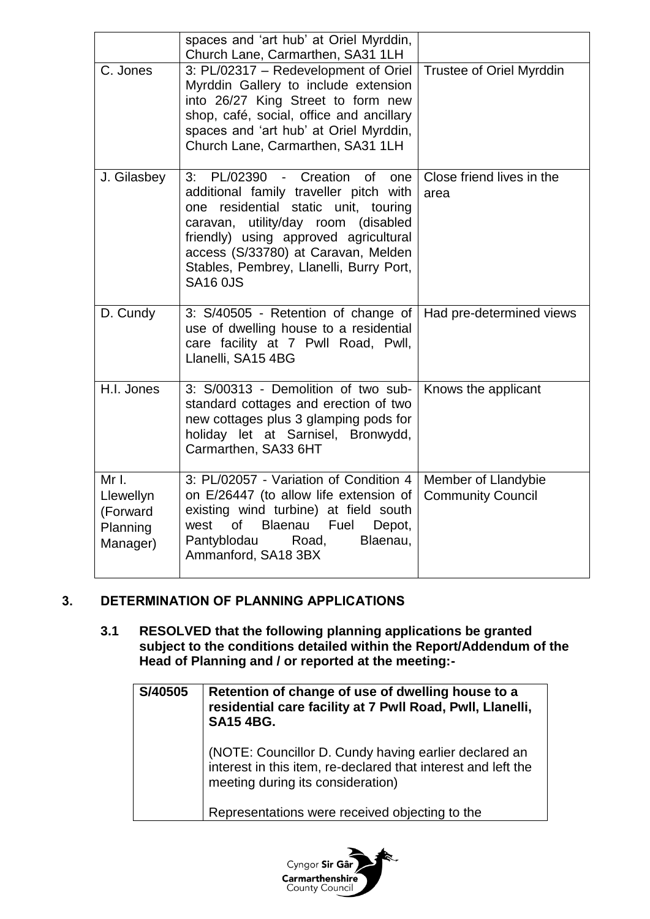|                                                        | spaces and 'art hub' at Oriel Myrddin,<br>Church Lane, Carmarthen, SA31 1LH                                                                                                                                                                                                                                      |                                                 |
|--------------------------------------------------------|------------------------------------------------------------------------------------------------------------------------------------------------------------------------------------------------------------------------------------------------------------------------------------------------------------------|-------------------------------------------------|
| C. Jones                                               | 3: PL/02317 - Redevelopment of Oriel<br>Myrddin Gallery to include extension<br>into 26/27 King Street to form new<br>shop, café, social, office and ancillary<br>spaces and 'art hub' at Oriel Myrddin,<br>Church Lane, Carmarthen, SA31 1LH                                                                    | Trustee of Oriel Myrddin                        |
| J. Gilasbey                                            | 3: PL/02390 - Creation<br>Ωf<br>one<br>additional family traveller pitch with<br>residential static unit, touring<br>one<br>caravan, utility/day room<br>(disabled<br>friendly) using approved agricultural<br>access (S/33780) at Caravan, Melden<br>Stables, Pembrey, Llanelli, Burry Port,<br><b>SA16 0JS</b> | Close friend lives in the<br>area               |
| D. Cundy                                               | 3: S/40505 - Retention of change of<br>use of dwelling house to a residential<br>care facility at 7 Pwll Road, Pwll,<br>Llanelli, SA15 4BG                                                                                                                                                                       | Had pre-determined views                        |
| H.I. Jones                                             | 3: S/00313 - Demolition of two sub-<br>standard cottages and erection of two<br>new cottages plus 3 glamping pods for<br>holiday let at Sarnisel, Bronwydd,<br>Carmarthen, SA33 6HT                                                                                                                              | Knows the applicant                             |
| Mr I.<br>Llewellyn<br>(Forward<br>Planning<br>Manager) | 3: PL/02057 - Variation of Condition 4<br>on E/26447 (to allow life extension of<br>existing wind turbine) at field south<br>Blaenau<br>of l<br>Fuel<br>west<br>Depot,<br>Pantyblodau<br>Blaenau,<br>Road,<br>Ammanford, SA18 3BX                                                                                | Member of Llandybie<br><b>Community Council</b> |

#### **3. DETERMINATION OF PLANNING APPLICATIONS**

**3.1 RESOLVED that the following planning applications be granted subject to the conditions detailed within the Report/Addendum of the Head of Planning and / or reported at the meeting:-**

| S/40505 | Retention of change of use of dwelling house to a<br>residential care facility at 7 Pwll Road, Pwll, Llanelli,<br><b>SA15 4BG.</b>                          |  |
|---------|-------------------------------------------------------------------------------------------------------------------------------------------------------------|--|
|         | (NOTE: Councillor D. Cundy having earlier declared an<br>interest in this item, re-declared that interest and left the<br>meeting during its consideration) |  |
|         | Representations were received objecting to the                                                                                                              |  |

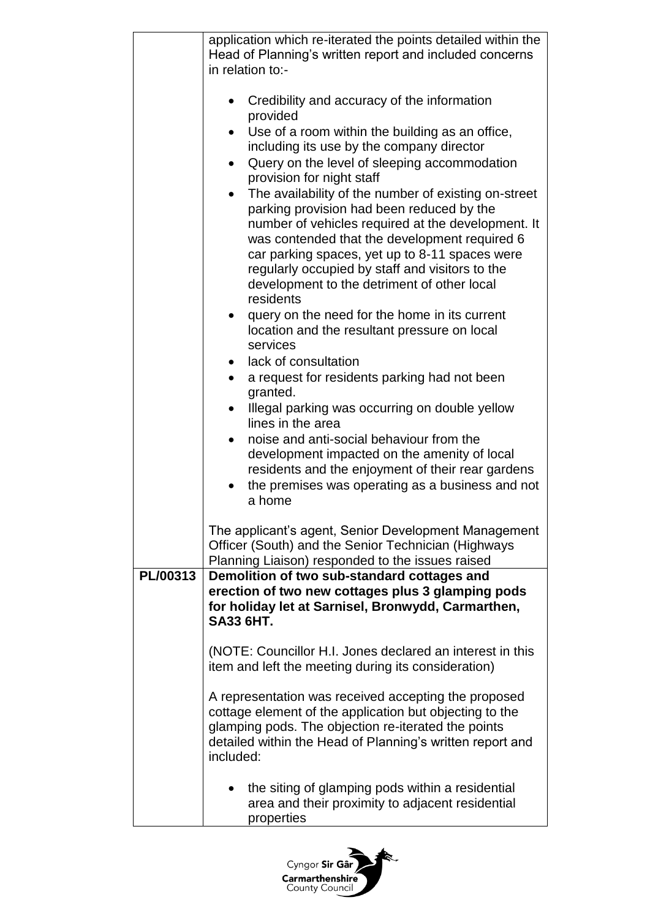|          | application which re-iterated the points detailed within the<br>Head of Planning's written report and included concerns                                                                                                                                                                                                                                                                                                                                                                                                                                                                                                                                                                                                                                                                                                                                                                                                                                                                                                                                                                                  |
|----------|----------------------------------------------------------------------------------------------------------------------------------------------------------------------------------------------------------------------------------------------------------------------------------------------------------------------------------------------------------------------------------------------------------------------------------------------------------------------------------------------------------------------------------------------------------------------------------------------------------------------------------------------------------------------------------------------------------------------------------------------------------------------------------------------------------------------------------------------------------------------------------------------------------------------------------------------------------------------------------------------------------------------------------------------------------------------------------------------------------|
|          | in relation to:-                                                                                                                                                                                                                                                                                                                                                                                                                                                                                                                                                                                                                                                                                                                                                                                                                                                                                                                                                                                                                                                                                         |
|          | Credibility and accuracy of the information<br>provided<br>Use of a room within the building as an office,<br>including its use by the company director<br>Query on the level of sleeping accommodation<br>provision for night staff<br>The availability of the number of existing on-street<br>parking provision had been reduced by the<br>number of vehicles required at the development. It<br>was contended that the development required 6<br>car parking spaces, yet up to 8-11 spaces were<br>regularly occupied by staff and visitors to the<br>development to the detriment of other local<br>residents<br>query on the need for the home in its current<br>location and the resultant pressure on local<br>services<br>lack of consultation<br>a request for residents parking had not been<br>granted.<br>Illegal parking was occurring on double yellow<br>lines in the area<br>noise and anti-social behaviour from the<br>development impacted on the amenity of local<br>residents and the enjoyment of their rear gardens<br>the premises was operating as a business and not<br>a home |
|          | The applicant's agent, Senior Development Management<br>Officer (South) and the Senior Technician (Highways<br>Planning Liaison) responded to the issues raised                                                                                                                                                                                                                                                                                                                                                                                                                                                                                                                                                                                                                                                                                                                                                                                                                                                                                                                                          |
| PL/00313 | Demolition of two sub-standard cottages and<br>erection of two new cottages plus 3 glamping pods<br>for holiday let at Sarnisel, Bronwydd, Carmarthen,<br><b>SA33 6HT.</b>                                                                                                                                                                                                                                                                                                                                                                                                                                                                                                                                                                                                                                                                                                                                                                                                                                                                                                                               |
|          | (NOTE: Councillor H.I. Jones declared an interest in this<br>item and left the meeting during its consideration)                                                                                                                                                                                                                                                                                                                                                                                                                                                                                                                                                                                                                                                                                                                                                                                                                                                                                                                                                                                         |
|          | A representation was received accepting the proposed<br>cottage element of the application but objecting to the<br>glamping pods. The objection re-iterated the points<br>detailed within the Head of Planning's written report and<br>included:                                                                                                                                                                                                                                                                                                                                                                                                                                                                                                                                                                                                                                                                                                                                                                                                                                                         |
|          | the siting of glamping pods within a residential<br>area and their proximity to adjacent residential<br>properties                                                                                                                                                                                                                                                                                                                                                                                                                                                                                                                                                                                                                                                                                                                                                                                                                                                                                                                                                                                       |

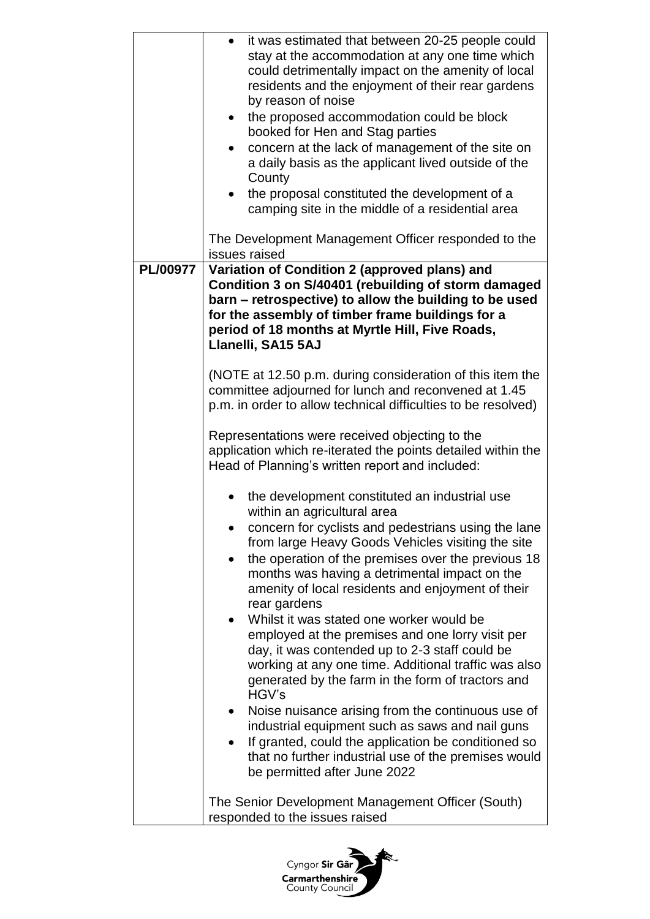|          | it was estimated that between 20-25 people could<br>stay at the accommodation at any one time which<br>could detrimentally impact on the amenity of local<br>residents and the enjoyment of their rear gardens<br>by reason of noise<br>the proposed accommodation could be block<br>$\bullet$<br>booked for Hen and Stag parties<br>concern at the lack of management of the site on<br>$\bullet$<br>a daily basis as the applicant lived outside of the<br>County<br>the proposal constituted the development of a |
|----------|----------------------------------------------------------------------------------------------------------------------------------------------------------------------------------------------------------------------------------------------------------------------------------------------------------------------------------------------------------------------------------------------------------------------------------------------------------------------------------------------------------------------|
|          | camping site in the middle of a residential area                                                                                                                                                                                                                                                                                                                                                                                                                                                                     |
|          | The Development Management Officer responded to the<br>issues raised                                                                                                                                                                                                                                                                                                                                                                                                                                                 |
| PL/00977 | Variation of Condition 2 (approved plans) and<br>Condition 3 on S/40401 (rebuilding of storm damaged<br>barn - retrospective) to allow the building to be used<br>for the assembly of timber frame buildings for a<br>period of 18 months at Myrtle Hill, Five Roads,<br>Llanelli, SA15 5AJ                                                                                                                                                                                                                          |
|          | (NOTE at 12.50 p.m. during consideration of this item the<br>committee adjourned for lunch and reconvened at 1.45<br>p.m. in order to allow technical difficulties to be resolved)                                                                                                                                                                                                                                                                                                                                   |
|          | Representations were received objecting to the<br>application which re-iterated the points detailed within the<br>Head of Planning's written report and included:                                                                                                                                                                                                                                                                                                                                                    |
|          | the development constituted an industrial use<br>within an agricultural area                                                                                                                                                                                                                                                                                                                                                                                                                                         |
|          | concern for cyclists and pedestrians using the lane<br>from large Heavy Goods Vehicles visiting the site<br>the operation of the premises over the previous 18<br>٠<br>months was having a detrimental impact on the<br>amenity of local residents and enjoyment of their<br>rear gardens                                                                                                                                                                                                                            |
|          | Whilst it was stated one worker would be<br>employed at the premises and one lorry visit per<br>day, it was contended up to 2-3 staff could be<br>working at any one time. Additional traffic was also<br>generated by the farm in the form of tractors and<br>HGV's                                                                                                                                                                                                                                                 |
|          | Noise nuisance arising from the continuous use of<br>$\bullet$<br>industrial equipment such as saws and nail guns<br>If granted, could the application be conditioned so<br>that no further industrial use of the premises would<br>be permitted after June 2022                                                                                                                                                                                                                                                     |
|          | The Senior Development Management Officer (South)<br>responded to the issues raised                                                                                                                                                                                                                                                                                                                                                                                                                                  |

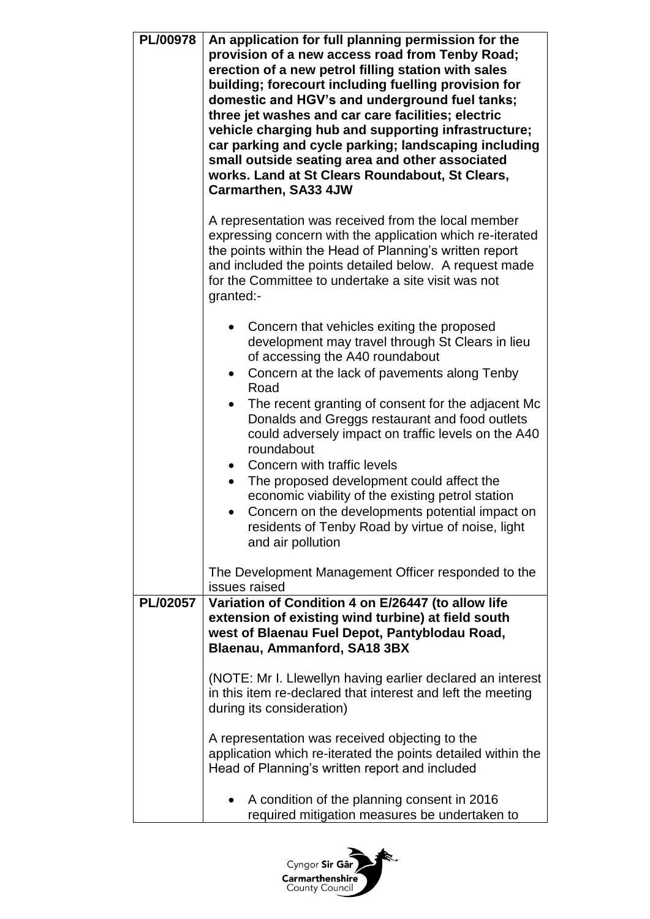| <b>PL/00978</b> | An application for full planning permission for the<br>provision of a new access road from Tenby Road;<br>erection of a new petrol filling station with sales<br>building; forecourt including fuelling provision for<br>domestic and HGV's and underground fuel tanks;<br>three jet washes and car care facilities; electric<br>vehicle charging hub and supporting infrastructure;<br>car parking and cycle parking; landscaping including<br>small outside seating area and other associated<br>works. Land at St Clears Roundabout, St Clears,<br><b>Carmarthen, SA33 4JW</b>                                                                                                                        |
|-----------------|----------------------------------------------------------------------------------------------------------------------------------------------------------------------------------------------------------------------------------------------------------------------------------------------------------------------------------------------------------------------------------------------------------------------------------------------------------------------------------------------------------------------------------------------------------------------------------------------------------------------------------------------------------------------------------------------------------|
|                 | A representation was received from the local member<br>expressing concern with the application which re-iterated<br>the points within the Head of Planning's written report<br>and included the points detailed below. A request made<br>for the Committee to undertake a site visit was not<br>granted:-                                                                                                                                                                                                                                                                                                                                                                                                |
|                 | Concern that vehicles exiting the proposed<br>development may travel through St Clears in lieu<br>of accessing the A40 roundabout<br>Concern at the lack of pavements along Tenby<br>Road<br>The recent granting of consent for the adjacent Mc<br>Donalds and Greggs restaurant and food outlets<br>could adversely impact on traffic levels on the A40<br>roundabout<br>Concern with traffic levels<br>$\bullet$<br>The proposed development could affect the<br>economic viability of the existing petrol station<br>Concern on the developments potential impact on<br>residents of Tenby Road by virtue of noise, light<br>and air pollution<br>The Development Management Officer responded to the |
| PL/02057        | issues raised<br>Variation of Condition 4 on E/26447 (to allow life<br>extension of existing wind turbine) at field south<br>west of Blaenau Fuel Depot, Pantyblodau Road,<br>Blaenau, Ammanford, SA18 3BX<br>(NOTE: Mr I. Llewellyn having earlier declared an interest<br>in this item re-declared that interest and left the meeting<br>during its consideration)                                                                                                                                                                                                                                                                                                                                     |
|                 | A representation was received objecting to the<br>application which re-iterated the points detailed within the<br>Head of Planning's written report and included<br>A condition of the planning consent in 2016<br>required mitigation measures be undertaken to                                                                                                                                                                                                                                                                                                                                                                                                                                         |

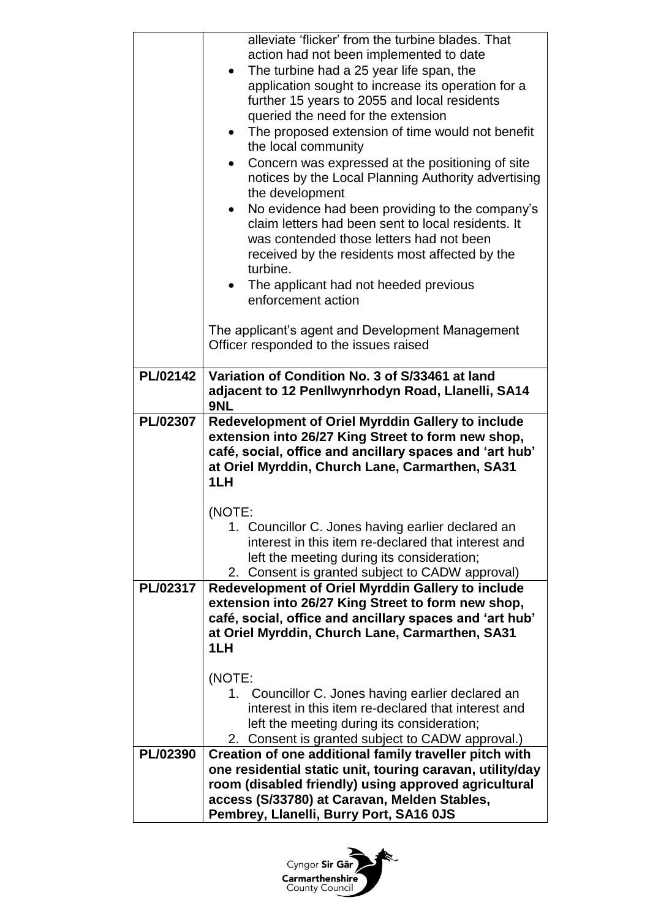|          | alleviate 'flicker' from the turbine blades. That<br>action had not been implemented to date<br>The turbine had a 25 year life span, the<br>$\bullet$<br>application sought to increase its operation for a<br>further 15 years to 2055 and local residents<br>queried the need for the extension<br>The proposed extension of time would not benefit<br>$\bullet$<br>the local community<br>Concern was expressed at the positioning of site<br>notices by the Local Planning Authority advertising<br>the development<br>No evidence had been providing to the company's<br>$\bullet$<br>claim letters had been sent to local residents. It<br>was contended those letters had not been<br>received by the residents most affected by the<br>turbine. |
|----------|---------------------------------------------------------------------------------------------------------------------------------------------------------------------------------------------------------------------------------------------------------------------------------------------------------------------------------------------------------------------------------------------------------------------------------------------------------------------------------------------------------------------------------------------------------------------------------------------------------------------------------------------------------------------------------------------------------------------------------------------------------|
|          | The applicant had not heeded previous<br>enforcement action                                                                                                                                                                                                                                                                                                                                                                                                                                                                                                                                                                                                                                                                                             |
|          | The applicant's agent and Development Management<br>Officer responded to the issues raised                                                                                                                                                                                                                                                                                                                                                                                                                                                                                                                                                                                                                                                              |
| PL/02142 | Variation of Condition No. 3 of S/33461 at land<br>adjacent to 12 Penllwynrhodyn Road, Llanelli, SA14<br>9NL                                                                                                                                                                                                                                                                                                                                                                                                                                                                                                                                                                                                                                            |
| PL/02307 | <b>Redevelopment of Oriel Myrddin Gallery to include</b><br>extension into 26/27 King Street to form new shop,<br>café, social, office and ancillary spaces and 'art hub'<br>at Oriel Myrddin, Church Lane, Carmarthen, SA31<br>1LH                                                                                                                                                                                                                                                                                                                                                                                                                                                                                                                     |
|          | (NOTE:<br>1. Councillor C. Jones having earlier declared an<br>interest in this item re-declared that interest and<br>left the meeting during its consideration;<br>Consent is granted subject to CADW approval)<br>2.                                                                                                                                                                                                                                                                                                                                                                                                                                                                                                                                  |
| PL/02317 | Redevelopment of Oriel Myrddin Gallery to include<br>extension into 26/27 King Street to form new shop,<br>café, social, office and ancillary spaces and 'art hub'<br>at Oriel Myrddin, Church Lane, Carmarthen, SA31<br>1LH                                                                                                                                                                                                                                                                                                                                                                                                                                                                                                                            |
|          | (NOTE:<br>1. Councillor C. Jones having earlier declared an<br>interest in this item re-declared that interest and<br>left the meeting during its consideration;<br>2. Consent is granted subject to CADW approval.)                                                                                                                                                                                                                                                                                                                                                                                                                                                                                                                                    |
| PL/02390 | Creation of one additional family traveller pitch with<br>one residential static unit, touring caravan, utility/day<br>room (disabled friendly) using approved agricultural<br>access (S/33780) at Caravan, Melden Stables,<br>Pembrey, Llanelli, Burry Port, SA16 0JS                                                                                                                                                                                                                                                                                                                                                                                                                                                                                  |

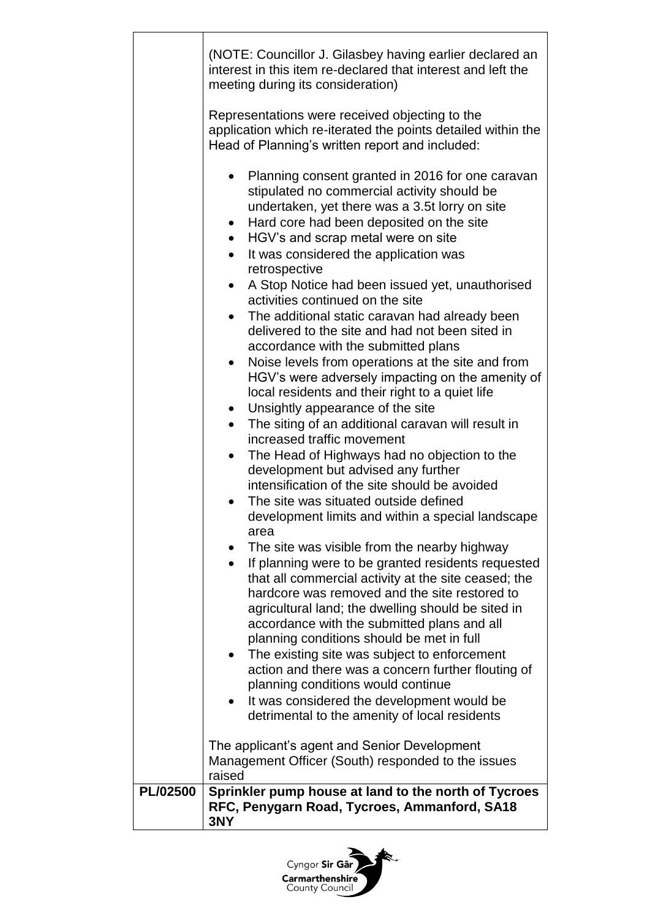|          | (NOTE: Councillor J. Gilasbey having earlier declared an<br>interest in this item re-declared that interest and left the<br>meeting during its consideration)                                                                                                                                                                                                                                                                                                                                                                                                                                                                                                                                                                                                                                                                                                                                                                                                                                                                                                                                                                                                                                                                                                                                                                                                                                                                                                                                                                                                                                                                       |
|----------|-------------------------------------------------------------------------------------------------------------------------------------------------------------------------------------------------------------------------------------------------------------------------------------------------------------------------------------------------------------------------------------------------------------------------------------------------------------------------------------------------------------------------------------------------------------------------------------------------------------------------------------------------------------------------------------------------------------------------------------------------------------------------------------------------------------------------------------------------------------------------------------------------------------------------------------------------------------------------------------------------------------------------------------------------------------------------------------------------------------------------------------------------------------------------------------------------------------------------------------------------------------------------------------------------------------------------------------------------------------------------------------------------------------------------------------------------------------------------------------------------------------------------------------------------------------------------------------------------------------------------------------|
|          | Representations were received objecting to the<br>application which re-iterated the points detailed within the<br>Head of Planning's written report and included:                                                                                                                                                                                                                                                                                                                                                                                                                                                                                                                                                                                                                                                                                                                                                                                                                                                                                                                                                                                                                                                                                                                                                                                                                                                                                                                                                                                                                                                                   |
|          | Planning consent granted in 2016 for one caravan<br>stipulated no commercial activity should be<br>undertaken, yet there was a 3.5t lorry on site<br>Hard core had been deposited on the site<br>$\bullet$<br>HGV's and scrap metal were on site<br>$\bullet$<br>It was considered the application was<br>retrospective<br>A Stop Notice had been issued yet, unauthorised<br>activities continued on the site<br>The additional static caravan had already been<br>delivered to the site and had not been sited in<br>accordance with the submitted plans<br>Noise levels from operations at the site and from<br>$\bullet$<br>HGV's were adversely impacting on the amenity of<br>local residents and their right to a quiet life<br>Unsightly appearance of the site<br>$\bullet$<br>The siting of an additional caravan will result in<br>increased traffic movement<br>The Head of Highways had no objection to the<br>development but advised any further<br>intensification of the site should be avoided<br>The site was situated outside defined<br>development limits and within a special landscape<br>area<br>The site was visible from the nearby highway<br>If planning were to be granted residents requested<br>that all commercial activity at the site ceased; the<br>hardcore was removed and the site restored to<br>agricultural land; the dwelling should be sited in<br>accordance with the submitted plans and all<br>planning conditions should be met in full<br>The existing site was subject to enforcement<br>action and there was a concern further flouting of<br>planning conditions would continue |
|          | It was considered the development would be<br>detrimental to the amenity of local residents                                                                                                                                                                                                                                                                                                                                                                                                                                                                                                                                                                                                                                                                                                                                                                                                                                                                                                                                                                                                                                                                                                                                                                                                                                                                                                                                                                                                                                                                                                                                         |
|          | The applicant's agent and Senior Development<br>Management Officer (South) responded to the issues<br>raised                                                                                                                                                                                                                                                                                                                                                                                                                                                                                                                                                                                                                                                                                                                                                                                                                                                                                                                                                                                                                                                                                                                                                                                                                                                                                                                                                                                                                                                                                                                        |
| PL/02500 | Sprinkler pump house at land to the north of Tycroes<br>RFC, Penygarn Road, Tycroes, Ammanford, SA18<br>3NY                                                                                                                                                                                                                                                                                                                                                                                                                                                                                                                                                                                                                                                                                                                                                                                                                                                                                                                                                                                                                                                                                                                                                                                                                                                                                                                                                                                                                                                                                                                         |

ń

J.

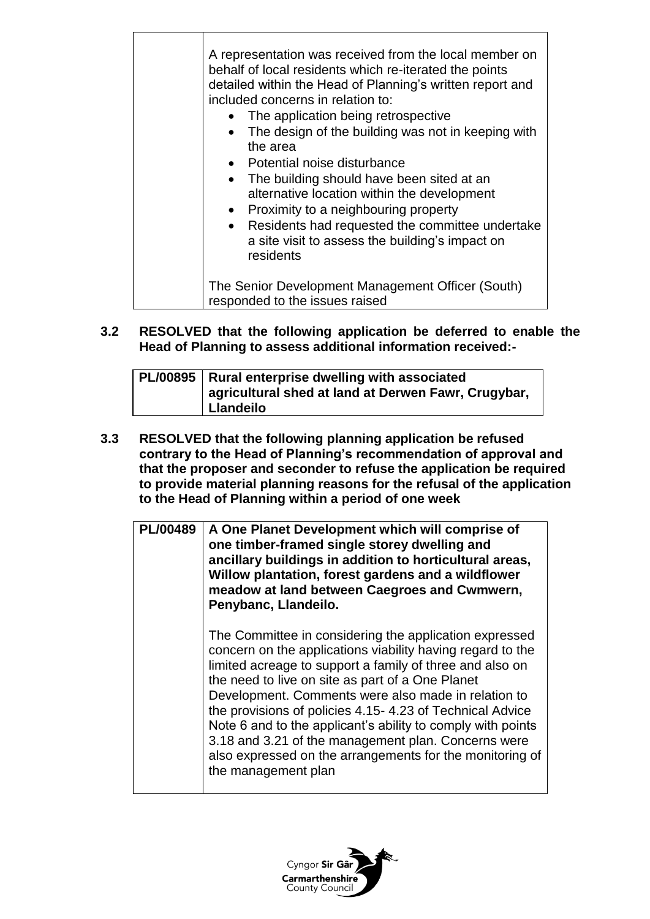| A representation was received from the local member on<br>behalf of local residents which re-iterated the points<br>detailed within the Head of Planning's written report and<br>included concerns in relation to:<br>The application being retrospective<br>The design of the building was not in keeping with<br>$\bullet$<br>the area<br>• Potential noise disturbance<br>The building should have been sited at an<br>$\bullet$<br>alternative location within the development<br>Proximity to a neighbouring property<br>$\bullet$<br>Residents had requested the committee undertake<br>$\bullet$<br>a site visit to assess the building's impact on<br>residents |
|-------------------------------------------------------------------------------------------------------------------------------------------------------------------------------------------------------------------------------------------------------------------------------------------------------------------------------------------------------------------------------------------------------------------------------------------------------------------------------------------------------------------------------------------------------------------------------------------------------------------------------------------------------------------------|
| The Senior Development Management Officer (South)<br>responded to the issues raised                                                                                                                                                                                                                                                                                                                                                                                                                                                                                                                                                                                     |

**3.2 RESOLVED that the following application be deferred to enable the Head of Planning to assess additional information received:-**

|  | PL/00895   Rural enterprise dwelling with associated<br>agricultural shed at land at Derwen Fawr, Crugybar,<br>Llandeilo |
|--|--------------------------------------------------------------------------------------------------------------------------|
|--|--------------------------------------------------------------------------------------------------------------------------|

**3.3 RESOLVED that the following planning application be refused contrary to the Head of Planning's recommendation of approval and that the proposer and seconder to refuse the application be required to provide material planning reasons for the refusal of the application to the Head of Planning within a period of one week**

| PL/00489   A One Planet Development which will comprise of<br>one timber-framed single storey dwelling and<br>ancillary buildings in addition to horticultural areas,<br>Willow plantation, forest gardens and a wildflower<br>meadow at land between Caegroes and Cwmwern,<br>Penybanc, Llandeilo. |
|-----------------------------------------------------------------------------------------------------------------------------------------------------------------------------------------------------------------------------------------------------------------------------------------------------|
|                                                                                                                                                                                                                                                                                                     |

The Committee in considering the application expressed concern on the applications viability having regard to the limited acreage to support a family of three and also on the need to live on site as part of a One Planet Development. Comments were also made in relation to the provisions of policies 4.15- 4.23 of Technical Advice Note 6 and to the applicant's ability to comply with points 3.18 and 3.21 of the management plan. Concerns were also expressed on the arrangements for the monitoring of the management plan